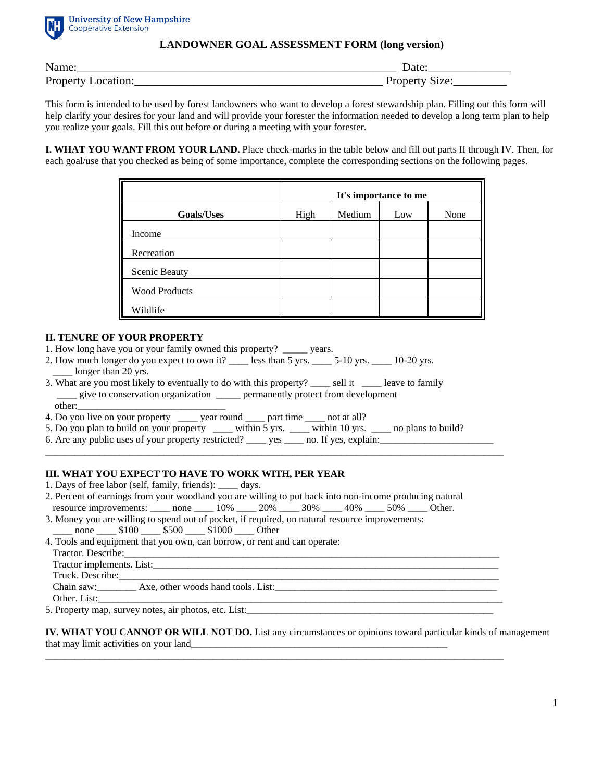

**University of New Hampshire Cooperative Extension** 

## **LANDOWNER GOAL ASSESSMENT FORM (long version)**

| Name:                 | Jate     |
|-----------------------|----------|
| Property I            | Size:    |
| Location <sup>.</sup> | Property |

This form is intended to be used by forest landowners who want to develop a forest stewardship plan. Filling out this form will help clarify your desires for your land and will provide your forester the information needed to develop a long term plan to help you realize your goals. Fill this out before or during a meeting with your forester.

**I. WHAT YOU WANT FROM YOUR LAND.** Place check-marks in the table below and fill out parts II through IV. Then, for each goal/use that you checked as being of some importance, complete the corresponding sections on the following pages.

|                      | It's importance to me |        |     |      |  |
|----------------------|-----------------------|--------|-----|------|--|
| <b>Goals/Uses</b>    | High                  | Medium | Low | None |  |
| Income               |                       |        |     |      |  |
| Recreation           |                       |        |     |      |  |
| Scenic Beauty        |                       |        |     |      |  |
| <b>Wood Products</b> |                       |        |     |      |  |
| Wildlife             |                       |        |     |      |  |

## **II. TENURE OF YOUR PROPERTY**

- 1. How long have you or your family owned this property? \_\_\_\_\_ years.
- 2. How much longer do you expect to own it? \_\_\_\_\_ less than 5 yrs. \_\_\_\_\_ 5-10 yrs. \_\_\_\_\_ 10-20 yrs. longer than 20 yrs.
- 3. What are you most likely to eventually to do with this property? \_\_\_\_ sell it \_\_\_\_ leave to family \_\_\_\_ give to conservation organization \_\_\_\_\_ permanently protect from development other:\_\_\_\_\_\_\_\_\_\_\_\_\_\_\_\_\_\_\_\_\_\_\_\_\_\_\_\_\_\_
- 4. Do you live on your property \_\_\_\_\_ year round \_\_\_\_ part time \_\_\_\_ not at all?
- 5. Do you plan to build on your property \_\_\_\_ within  $5 \text{ yrs.}$  \_\_\_\_ within 10 yrs. \_\_\_\_ no plans to build?

\_\_\_\_\_\_\_\_\_\_\_\_\_\_\_\_\_\_\_\_\_\_\_\_\_\_\_\_\_\_\_\_\_\_\_\_\_\_\_\_\_\_\_\_\_\_\_\_\_\_\_\_\_\_\_\_\_\_\_\_\_\_\_\_\_\_\_\_\_\_\_\_\_\_\_\_\_\_\_\_\_\_\_\_\_\_\_\_\_\_\_\_\_

6. Are any public uses of your property restricted? \_\_\_\_ yes \_\_\_\_ no. If yes, explain: \_\_\_\_\_\_\_\_\_\_\_\_\_\_\_\_\_\_\_\_\_\_\_

## **III. WHAT YOU EXPECT TO HAVE TO WORK WITH, PER YEAR**

- 1. Days of free labor (self, family, friends): \_\_\_\_ days.
- 2. Percent of earnings from your woodland you are willing to put back into non-income producing natural resource improvements: \_\_\_\_ none \_\_\_\_ 10% \_\_\_\_ 20% \_\_\_\_ 30% \_\_\_\_ 40% \_\_\_\_ 50% \_\_\_\_ Other.
- 3. Money you are willing to spend out of pocket, if required, on natural resource improvements: \_\_\_\_\_ none \_\_\_\_\_ \$100 \_\_\_\_ \$500 \_\_\_\_ \$1000 \_\_\_\_ Other
- 4. Tools and equipment that you own, can borrow, or rent and can operate:
- Tractor. Describe: Tractor implements. List: Truck. Describe: Chain saw: Axe, other woods hand tools. List:
- Other. List:

5. Property map, survey notes, air photos, etc. List:\_\_\_\_\_\_\_\_\_\_\_\_\_\_\_\_\_\_\_\_\_\_\_\_\_\_\_\_\_\_\_\_\_\_\_\_\_\_\_\_\_\_\_\_\_\_\_\_\_\_

**IV. WHAT YOU CANNOT OR WILL NOT DO.** List any circumstances or opinions toward particular kinds of management that may limit activities on your land\_\_\_\_\_\_\_\_\_\_\_\_\_\_\_\_\_\_\_\_\_\_\_\_\_\_\_\_\_\_\_\_\_\_\_\_\_\_\_\_\_\_\_\_\_\_\_\_\_\_\_\_

\_\_\_\_\_\_\_\_\_\_\_\_\_\_\_\_\_\_\_\_\_\_\_\_\_\_\_\_\_\_\_\_\_\_\_\_\_\_\_\_\_\_\_\_\_\_\_\_\_\_\_\_\_\_\_\_\_\_\_\_\_\_\_\_\_\_\_\_\_\_\_\_\_\_\_\_\_\_\_\_\_\_\_\_\_\_\_\_\_\_\_\_\_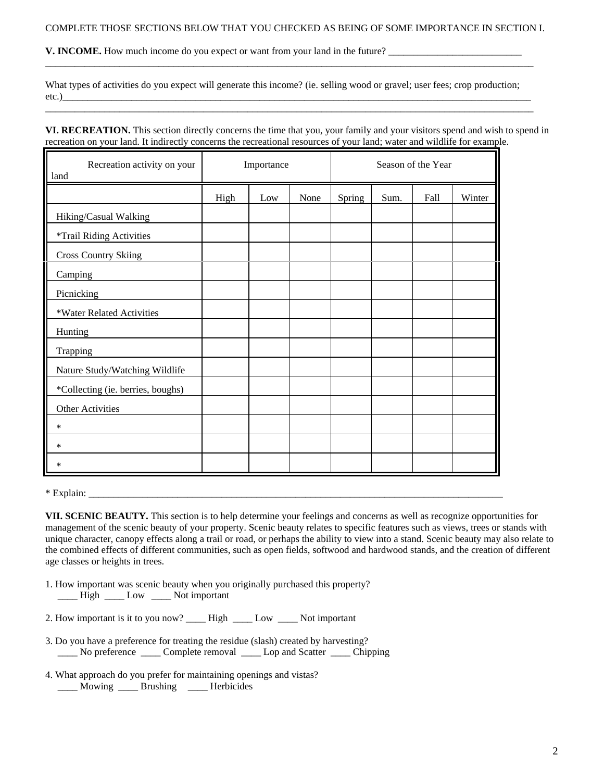\_\_\_\_\_\_\_\_\_\_\_\_\_\_\_\_\_\_\_\_\_\_\_\_\_\_\_\_\_\_\_\_\_\_\_\_\_\_\_\_\_\_\_\_\_\_\_\_\_\_\_\_\_\_\_\_\_\_\_\_\_\_\_\_\_\_\_\_\_\_\_\_\_\_\_\_\_\_\_\_\_\_\_\_\_\_\_\_\_\_\_\_\_\_\_\_\_\_\_

 $\_$  , and the set of the set of the set of the set of the set of the set of the set of the set of the set of the set of the set of the set of the set of the set of the set of the set of the set of the set of the set of th

**V. INCOME.** How much income do you expect or want from your land in the future?

What types of activities do you expect will generate this income? (ie. selling wood or gravel; user fees; crop production; etc.)\_\_\_\_\_\_\_\_\_\_\_\_\_\_\_\_\_\_\_\_\_\_\_\_\_\_\_\_\_\_\_\_\_\_\_\_\_\_\_\_\_\_\_\_\_\_\_\_\_\_\_\_\_\_\_\_\_\_\_\_\_\_\_\_\_\_\_\_\_\_\_\_\_\_\_\_\_\_\_\_\_\_\_\_\_\_\_\_\_\_\_\_\_\_\_

**VI. RECREATION.** This section directly concerns the time that you, your family and your visitors spend and wish to spend in recreation on your land. It indirectly concerns the recreational resources of your land; water and wildlife for example.

| Recreation activity on your<br>land | Importance |     | Season of the Year |        |      |      |        |
|-------------------------------------|------------|-----|--------------------|--------|------|------|--------|
|                                     | High       | Low | None               | Spring | Sum. | Fall | Winter |
| Hiking/Casual Walking               |            |     |                    |        |      |      |        |
| *Trail Riding Activities            |            |     |                    |        |      |      |        |
| <b>Cross Country Skiing</b>         |            |     |                    |        |      |      |        |
| Camping                             |            |     |                    |        |      |      |        |
| Picnicking                          |            |     |                    |        |      |      |        |
| *Water Related Activities           |            |     |                    |        |      |      |        |
| Hunting                             |            |     |                    |        |      |      |        |
| Trapping                            |            |     |                    |        |      |      |        |
| Nature Study/Watching Wildlife      |            |     |                    |        |      |      |        |
| *Collecting (ie. berries, boughs)   |            |     |                    |        |      |      |        |
| Other Activities                    |            |     |                    |        |      |      |        |
| $\ast$                              |            |     |                    |        |      |      |        |
| ∗                                   |            |     |                    |        |      |      |        |
| *                                   |            |     |                    |        |      |      |        |

 $*$  Explain:  $\overline{\phantom{a}}$ 

**VII. SCENIC BEAUTY.** This section is to help determine your feelings and concerns as well as recognize opportunities for management of the scenic beauty of your property. Scenic beauty relates to specific features such as views, trees or stands with unique character, canopy effects along a trail or road, or perhaps the ability to view into a stand. Scenic beauty may also relate to the combined effects of different communities, such as open fields, softwood and hardwood stands, and the creation of different age classes or heights in trees.

- 1. How important was scenic beauty when you originally purchased this property? \_\_\_\_ High \_\_\_\_ Low \_\_\_\_ Not important
- 2. How important is it to you now? \_\_\_\_\_ High \_\_\_\_\_ Low \_\_\_\_\_ Not important
- 3. Do you have a preference for treating the residue (slash) created by harvesting? \_\_\_\_ No preference \_\_\_\_ Complete removal \_\_\_\_ Lop and Scatter \_\_\_\_ Chipping
- 4. What approach do you prefer for maintaining openings and vistas? \_\_\_\_ Mowing \_\_\_\_ Brushing \_\_\_\_ Herbicides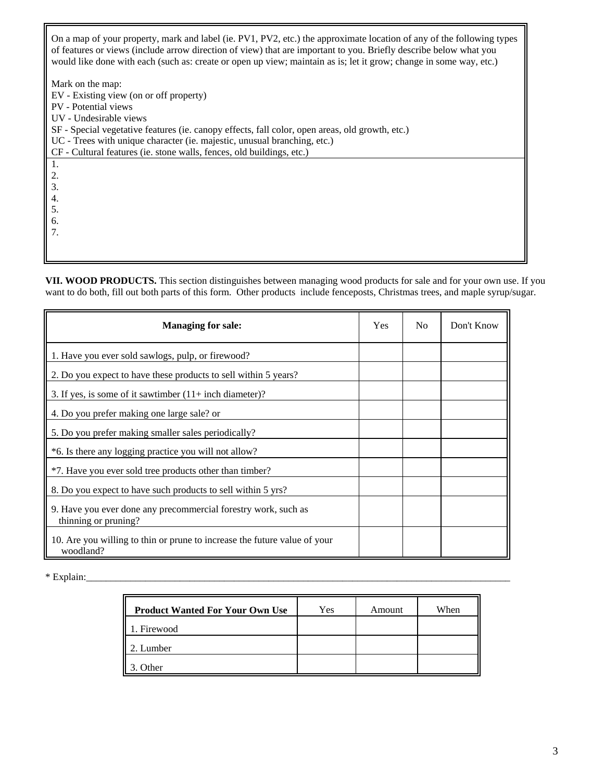On a map of your property, mark and label (ie. PV1, PV2, etc.) the approximate location of any of the following types of features or views (include arrow direction of view) that are important to you. Briefly describe below what you would like done with each (such as: create or open up view; maintain as is; let it grow; change in some way, etc.)

Mark on the map:

EV - Existing view (on or off property) PV - Potential views UV - Undesirable views SF - Special vegetative features (ie. canopy effects, fall color, open areas, old growth, etc.) UC - Trees with unique character (ie. majestic, unusual branching, etc.) CF - Cultural features (ie. stone walls, fences, old buildings, etc.) 1. 2. 3. 4. 5. 6. 7.

**VII. WOOD PRODUCTS.** This section distinguishes between managing wood products for sale and for your own use. If you want to do both, fill out both parts of this form. Other products include fenceposts, Christmas trees, and maple syrup/sugar.

| <b>Managing for sale:</b>                                                              | Yes | N <sub>0</sub> | Don't Know |
|----------------------------------------------------------------------------------------|-----|----------------|------------|
| 1. Have you ever sold sawlogs, pulp, or firewood?                                      |     |                |            |
| 2. Do you expect to have these products to sell within 5 years?                        |     |                |            |
| 3. If yes, is some of it sawtimber $(11 + \text{inch diameter})$ ?                     |     |                |            |
| 4. Do you prefer making one large sale? or                                             |     |                |            |
| 5. Do you prefer making smaller sales periodically?                                    |     |                |            |
| *6. Is there any logging practice you will not allow?                                  |     |                |            |
| *7. Have you ever sold tree products other than timber?                                |     |                |            |
| 8. Do you expect to have such products to sell within 5 yrs?                           |     |                |            |
| 9. Have you ever done any precommercial forestry work, such as<br>thinning or pruning? |     |                |            |
| 10. Are you willing to thin or prune to increase the future value of your<br>woodland? |     |                |            |

\* Explain:\_\_\_\_\_\_\_\_\_\_\_\_\_\_\_\_\_\_\_\_\_\_\_\_\_\_\_\_\_\_\_\_\_\_\_\_\_\_\_\_\_\_\_\_\_\_\_\_\_\_\_\_\_\_\_\_\_\_\_\_\_\_\_\_\_\_\_\_\_\_\_\_\_\_\_\_\_\_\_\_\_\_\_\_\_\_

| <b>Product Wanted For Your Own Use</b> | Yes | Amount | When |
|----------------------------------------|-----|--------|------|
| . Firewood                             |     |        |      |
| 2. Lumber                              |     |        |      |
| Other                                  |     |        |      |